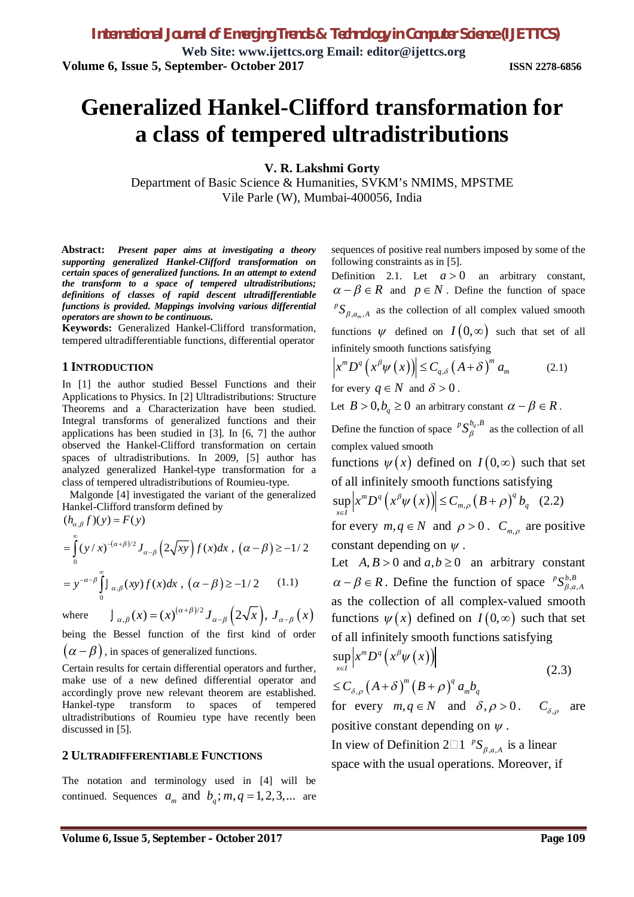**Web Site: www.ijettcs.org Email: editor@ijettcs.org Volume 6, Issue 5, September- October 2017 ISSN 2278-6856**

# **Generalized Hankel-Clifford transformation for a class of tempered ultradistributions**

**V. R. Lakshmi Gorty**

Department of Basic Science & Humanities, SVKM's NMIMS, MPSTME Vile Parle (W), Mumbai-400056, India

**Abstract:** *Present paper aims at investigating a theory supporting generalized Hankel-Clifford transformation on certain spaces of generalized functions. In an attempt to extend the transform to a space of tempered ultradistributions; definitions of classes of rapid descent ultradifferentiable functions is provided. Mappings involving various differential operators are shown to be continuous.*

**Keywords:** Generalized Hankel-Clifford transformation, tempered ultradifferentiable functions, differential operator

### **1 INTRODUCTION**

In [1] the author studied Bessel Functions and their Applications to Physics. In [2] Ultradistributions: Structure Theorems and a Characterization have been studied. Integral transforms of generalized functions and their applications has been studied in [3]. In [6, 7] the author observed the Hankel-Clifford transformation on certain spaces of ultradistributions. In 2009, [5] author has analyzed generalized Hankel-type transformation for a class of tempered ultradistributions of Roumieu-type.

 Malgonde [4] investigated the variant of the generalized Hankel-Clifford transform defined by  $(h_{\alpha,\beta} f)(y) = F(y)$ 

$$
= \int_{0}^{\infty} (y/x)^{-(\alpha+\beta)/2} J_{\alpha-\beta} \left(2\sqrt{xy}\right) f(x) dx , (\alpha-\beta) \ge -1/2
$$
  

$$
= y^{-\alpha-\beta} \int_{0}^{\infty} J_{\alpha,\beta}(xy) f(x) dx , (\alpha-\beta) \ge -1/2 \qquad (1.1)
$$

where  $J_{\alpha,\beta}(x) = (x)^{(\alpha+\beta)/2} J_{\alpha-\beta}(2\sqrt{x}), J_{\alpha-\beta}(x)$  $J_{\alpha,\beta}(x) = (x)^{(\alpha+\beta)/2} J_{\alpha-\beta}(2\sqrt{x}), J_{\alpha-\beta}(x)$  $J_{\alpha,\beta}(x) = (x)^{(\alpha+\beta)/2} J_{\alpha-\beta}(2\sqrt{x}), J_{\alpha-\beta}(x)$ being the Bessel function of the first kind of order

 $(\alpha - \beta)$ , in spaces of generalized functions.

Certain results for certain differential operators and further, make use of a new defined differential operator and accordingly prove new relevant theorem are established. Hankel-type transform to spaces of tempered ultradistributions of Roumieu type have recently been discussed in [5].

### **2 ULTRADIFFERENTIABLE FUNCTIONS**

The notation and terminology used in [4] will be continued. Sequences  $a_m$  and  $b_q$ ;  $m, q = 1, 2, 3,...$  are sequences of positive real numbers imposed by some of the following constraints as in [5].

Definition 2.1. Let  $a > 0$  an arbitrary constant,  $\alpha - \beta \in R$  and  $p \in N$ . Define the function of space  $,a_m, A$  ${}^pS_{\beta,a_m,A}$  as the collection of all complex valued smooth functions  $\psi$  defined on  $I(0,\infty)$  such that set of all infinitely smooth functions satisfying

$$
\left| x^m D^q \left( x^\beta \psi \left( x \right) \right) \right| \le C_{q,\delta} \left( A + \delta \right)^m a_m \tag{2.1}
$$

for every  $q \in N$  and  $\delta > 0$ .

Let  $B > 0, b_q \ge 0$  an arbitrary constant  $\alpha - \beta \in R$ .

Define the function of space  ${}^pS^{b_q, B}_{\beta}$  as the collection of all complex valued smooth

functions  $\psi(x)$  defined on  $I(0,\infty)$  such that set of all infinitely smooth functions satisfying

$$
\sup_{x \in I} \left| x^m D^q \left( x^\beta \psi(x) \right) \right| \le C_{m,\rho} \left( B + \rho \right)^q b_q \quad (2.2)
$$

for every  $m, q \in N$  and  $\rho > 0$ .  $C_{m,\rho}$  are positive constant depending on  $\psi$ .

Let  $A, B > 0$  and  $a, b \ge 0$  an arbitrary constant  $\alpha - \beta \in R$ . Define the function of space  ${}^pS^{b,B}_{\beta,a,A}$  $^{p}S^{b,B}_{\beta,a,A}$ as the collection of all complex-valued smooth functions  $\psi(x)$  defined on  $I(0,\infty)$  such that set of all infinitely smooth functions satisfying

$$
\sup_{x \in I} \left| x^m D^q \left( x^\beta \psi(x) \right) \right|
$$
\n
$$
\leq C_{\delta,\rho} \left( A + \delta \right)^m \left( B + \rho \right)^q a_m b_q \tag{2.3}
$$

for every  $m, q \in N$  and  $\delta, \rho > 0$ .  $C_{\delta, \rho}$  are positive constant depending on  $\psi$ .

In view of Definition 2 $\square$ 1  ${}^pS_{\beta,a,A}$  ${}^pS_{\beta,a,A}$  is a linear space with the usual operations. Moreover, if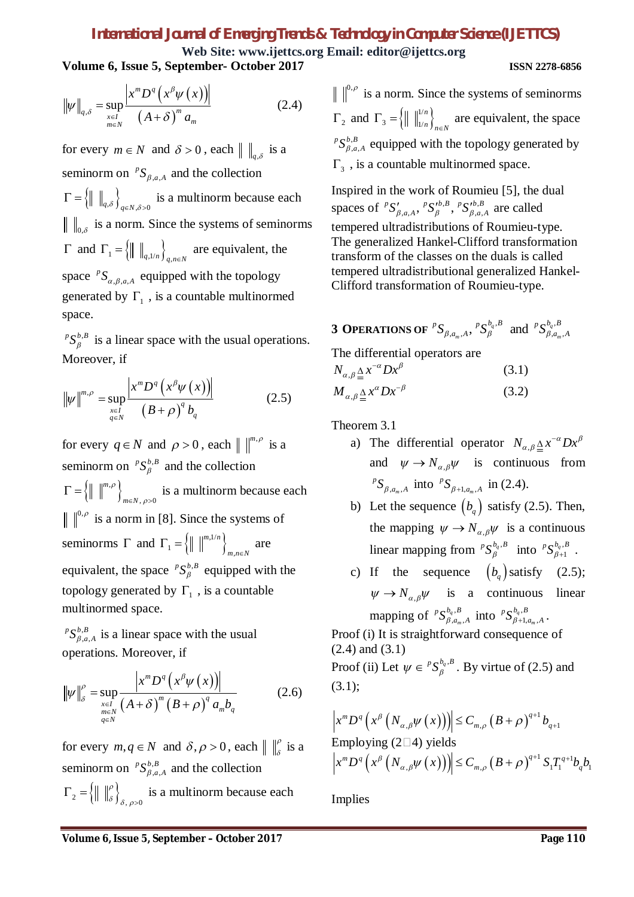,

**Web Site: www.ijettcs.org Email: editor@ijettcs.org Volume 6, Issue 5, September- October 2017 ISSN 2278-6856**

$$
\|\psi\|_{q,\delta} = \sup_{\substack{x \in I \\ m \in N}} \frac{\left| x^m D^q \left( x^\beta \psi(x) \right) \right|}{\left( A + \delta \right)^m a_m} \tag{2.4}
$$

for every  $m \in N$  and  $\delta > 0$ , each  $\| \cdot \|_{q,\delta}$  is a seminorm on  ${}^pS_{\beta,a,A}$  ${}^pS_{\beta,a,A}$  and the collection  $\Gamma = \left\{ \parallel \ \parallel_{q,\delta} \right\}_{q \in N, \delta > 0}$  is a multinorm because each  $_{0,\delta}$  is a norm. Since the systems of seminorms  $\Gamma$  and  $\Gamma_1 = \{ \parallel \parallel_{q,1/n} \}_{q,n \in \mathbb{N}}$  are equivalent, the space  ${}^pS_{\alpha,\beta,a,A}$  ${}^pS_{\alpha,\beta,a,A}$  equipped with the topology generated by  $\Gamma_1$ , is a countable multinormed space.

 $p S_{\beta}^{b,B}$  is a linear space with the usual operations. Moreover, if

$$
\|\psi\|^{m,\rho} = \sup_{\substack{x \in I \\ q \in N}} \frac{\left| x^m D^q \left( x^\beta \psi \left( x \right) \right) \right|}{\left( B + \rho \right)^q b_q} \tag{2.5}
$$

for every  $q \in N$  and  $\rho > 0$ , each  $\| \int_{m}^{m,\rho}$  is a seminorm on  ${}^pS^{b,B}_{\beta}$  and the collection  $\left\{ \left\| \right. \right\| ^{m,\rho }\right\}$ ,  $\rho > 0$ *m*  $m \in N$  $\rho$  $\Gamma = \{ \parallel \parallel^{m,\rho} \}_{m \in N, \rho > 0}$  is a multinorm because each  $\binom{0, \rho}{0, \rho}$  is a norm in [8]. Since the systems of seminorms  $\Gamma$  and  $\Gamma_1 = \{ || ||^{m,1/n} \}$  $1 - \lfloor || || ||$   $\rfloor_m$ *m n*  $\Gamma_1 = \left\{ \parallel \parallel^{m,1/n} \right\}_{m,n \in \mathbb{N}}$  are equivalent, the space  ${}^pS^{b,B}_{\beta}$  equipped with the topology generated by  $\Gamma_1$ , is a countable multinormed space.

,  $, a, A$  ${}^pS^{b,B}_{\beta,a,A}$  is a linear space with the usual operations. Moreover, if

$$
\|\psi\|_{\delta}^{\rho} = \sup_{\substack{x \in I \\ m \in N \\ q \in N}} \frac{\left| x^{m} D^{q} \left( x^{\beta} \psi \left( x \right) \right) \right|}{\left( A + \delta \right)^{m} \left( B + \rho \right)^{q} a_{m} b_{q}} \tag{2.6}
$$

for every  $m, q \in N$  and  $\delta, \rho > 0$ , each  $\| \int_{\delta}^{\rho}$  is a seminorm on  ${}^pS^{b,B}_{\beta,a,A}$  ${}^pS_{\beta,a,A}^{b,B}$  and the collection  $\mathcal{L}_2 = \left\{ \left\| \begin{array}{c} \|\beta \end{array} \right\}_{\delta, \rho > 0}$  $\Gamma_2 = \left\{ \parallel \parallel_{\delta}^{\rho} \right\}_{\delta, \rho > 0}$  is a multinorm because each

 $\binom{0,\rho}{0}$  is a norm. Since the systems of seminorms  $\Gamma_2$  and  $\Gamma_3 = \left\{ \parallel \parallel_{1/n}^{1/n} \right\}$ 3 <sup>-</sup> 11 11/ *n*  $\Gamma_3 = \left\{ \parallel \ \parallel_{1/n}^{1/n} \right\}_{n \in \mathbb{N}}$  are equivalent, the space  $p S_{\beta,a,A}^{b,B}$  equipped with the topology generated by

 $, a, A$  $\Gamma_3$ , is a countable multinormed space.

Inspired in the work of Roumieu [5], the dual spaces of  ${}^pS'_{\beta,a,A}$ ,  ${}^pS'^{b,B}_{\beta}$ ,  ${}^pS'^{b,B}_{\beta,a,A}$  are called tempered ultradistributions of Roumieu-type. The generalized Hankel-Clifford transformation transform of the classes on the duals is called tempered ultradistributional generalized Hankel-Clifford transformation of Roumieu-type.

**3 OPERATIONS OF**  ${}^pS_{B,q}$   $_A$ ,  ${}^pS_B^{\mathbf{b}_q, B}$  and  ${}^pS_{B,q}^{\mathbf{b}_q, B}$  $\sum_{i=1}^{n} a_{m} A^{i} S_{\beta}^{\nu_{q}, B}$  and  ${}^{\rho} S_{\beta, a_{m}, A}^{\nu_{q}, B}$  $^{p}S_{\beta,a_{m},A}$ ,  $^{p}S_{\beta}^{b_{q},B}$  and  $^{p}S_{\beta,a_{m},A}^{b_{q},B}$ 

The differential operators are

 $N_{\alpha,\beta} \leq x^{-\alpha} D x^{\beta}$  $\alpha$ , $\beta$  $\Delta x^{-\alpha} D x^{\beta}$  (3.1)  $M_{\alpha,\beta} \leq x^{\alpha} D x^{-\beta}$  $\alpha, \beta$  :  $\Delta x^{\alpha}Dx^{-\beta}$  (3.2)

Theorem 3.1

- a) The differential operator  $N_{\alpha,\beta} \leq x^{-\alpha} D x^{\beta}$  $\alpha, \beta$  $\Delta x^{-\alpha}Dx^{\beta}$ and  $\psi \rightarrow N_{\alpha,\beta}\psi$  is continuous from  $,a_m, A$  ${}^pS_{\beta,a_m,A}$  into  ${}^pS_{\beta+1,a_m,A}$  in (2.4).
- b) Let the sequence  $(b<sub>a</sub>)$  satisfy (2.5). Then, the mapping  $\psi \to N_{\alpha,\beta}\psi$  is a continuous linear mapping from  ${}^pS^{b_q, B}_{\beta}$  into  ${}^pS^{b_q, B}_{\beta+1}$ .
- c) If the sequence  $(b<sub>a</sub>)$  satisfy (2.5);  $\psi \rightarrow N_{\alpha,\beta}\psi$  is a continuous linear mapping of  ${}^pS^{b_q, B}_{\beta, a_m, A}$  ${}^p S^{b_q, B}_{\beta, a_m, A}$  into  ${}^p S^{b_q, B}_{\beta+1, a_m, A}$  ${}^p S^{b_q, B}_{\beta + 1, a_m, A}$ .

*m m* Proof (i) It is straightforward consequence of (2*.*4) and (3*.*1)

Proof (ii) Let  $\psi \in {}^{p}S_{\beta}^{b_q, B}$ . By virtue of (2.5) and (3*.*1);

$$
\left| x^m D^q \left( x^\beta \left( N_{\alpha,\beta} \psi \left( x \right) \right) \right) \right| \leq C_{m,\rho} \left( B + \rho \right)^{q+1} b_{q+1}
$$
  
Employee (2\square 4) yields  

$$
\left| x^m D^q \left( x^\beta \left( N_{\alpha,\beta} \psi \left( x \right) \right) \right) \right| \leq C_{m,\rho} \left( B + \rho \right)^{q+1} S_1 T_1^{q+1} b_q b_1
$$

Implies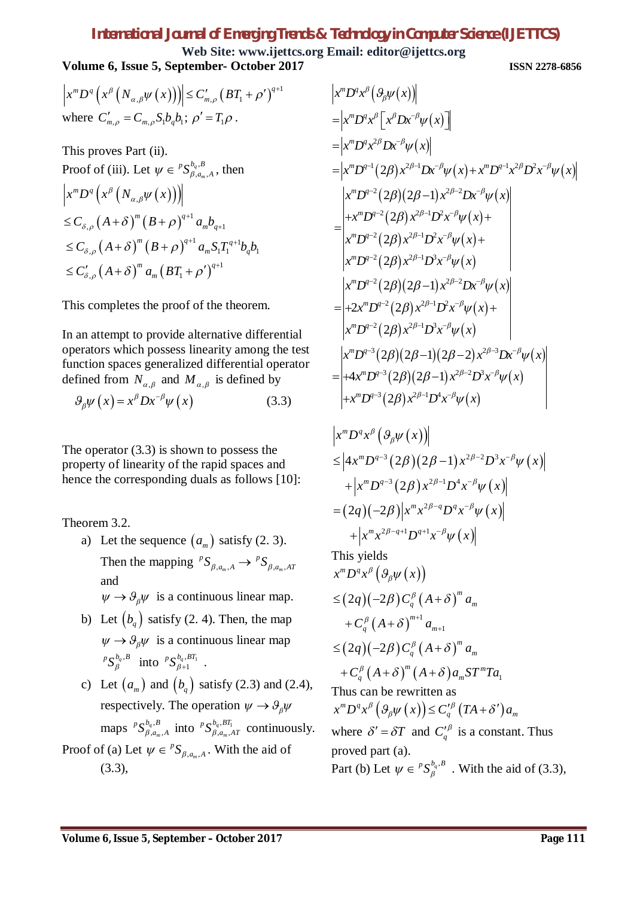**Web Site: www.ijettcs.org Email: editor@ijettcs.org Volume 6, Issue 5, September- October 2017 ISSN 2278-6856**

$$
\left| x^m D^q \left( x^\beta \left( N_{\alpha,\beta} \psi \left( x \right) \right) \right) \right| \leq C'_{m,\rho} \left( BT_1 + \rho' \right)^{q+1}
$$
  
where  $C'_{m,\rho} = C_{m,\rho} S_1 b_q b_1$ ;  $\rho' = T_1 \rho$ .

This proves Part (ii). Proof of (iii). Let  $\psi \in {}^pS^{b_q, B}_{\beta, a_m, A}$ *m*  $\psi \in {}^pS^{b_q, B}_{\beta, a_m, A}$ , then  $\left(x^{\rho}\left(N_{\alpha,\beta}\psi\left(x\right)\right)\right)$  $(A + \delta)^m (B + \rho)^{q+1}$  $(A+\delta)^{m} (B+\rho)^{q+1} a_{m} S_{1} T_{1}^{q+1}$  $(A+\delta)^{m} a_{m} (BT_{1}+\rho')^{q+1}$  $\mu_{\rho}$  (1 | 0 | 0 |  $\rho$  |  $u_m v_{q+1}$  $\mu_{\rho}$  (1 1 0 ) (D + P )  $u_m v_1$  1  $v_q v_1$  $\alpha_{m}$  (1  $\sigma$ )  $u_{m}$  ( $v_{1}$ )  $x^m D^q\bigl(x^\beta \left(N_{\alpha,\beta}\psi\left(x\right)\right)$  $m \wedge p$ ,  $\lambda q$  $C_{\delta,\rho} (A+\delta)^m (B+\rho)^{q+1} a_m b_q$  $^{m}$  ( $\mathbf{p}$   $_{\mathbf{q}}$   $_{\mathbf{q}}$ )<sup> $q+1$ </sup>  $_{q}$   $_{\mathbf{q}}$   $_{\mathbf{q}}$   $_{\mathbf{q}}$  $\leq C_{\delta,\rho} (A+\delta)^{m} (B+\rho)^{q+1} a_{m} S_{1} T_{1}^{q+1} b_{q} b_{1}$  $m \sim (DT + N^q)$  $\leq C'_{\delta,\rho}\left(A+\delta\right)^{m}a_{m}\left(BT_{1}+\rho'\right)^{q+1}$  $\leq C_{\delta,\rho}\left(A+\delta\right)^{m}\left(B+\rho\right)^{q+1}a_{m}b_{q+1}$ 

This completes the proof of the theorem.

In an attempt to provide alternative differential operators which possess linearity among the test function spaces generalized differential operator defined from  $N_{\alpha,\beta}$  and  $M_{\alpha,\beta}$  is defined by

$$
\mathcal{G}_{\beta}\psi\left(x\right) = x^{\beta}Dx^{-\beta}\psi\left(x\right) \tag{3.3}
$$

The operator (3*.*3) is shown to possess the property of linearity of the rapid spaces and hence the corresponding duals as follows [10]:

Theorem 3.2.

- a) Let the sequence  $(a_m)$  satisfy (2. 3). Then the mapping  ${}^pS_{\beta,a_m,A} \to {}^pS_{\beta,a_m,A}$  ${}^pS_{\beta,a_m,A} \to {}^pS_{\beta,a_m,AT}$ and  $\psi \rightarrow \vartheta_{\beta}\psi$  is a continuous linear map.
- b) Let  $(b_q)$  satisfy (2. 4). Then, the map  $\psi \rightarrow \vartheta_{\beta}\psi$  is a continuous linear map  ${}^pS_\beta^{b_q, B}$  into  ${}^pS_{\beta+1}^{b_q, BT_1}$  $^{p}S^{b_{q},BT_{1}}_{\beta+1}$  .
- c) Let  $(a_m)$  and  $(b_a)$  satisfy (2.3) and (2.4), respectively. The operation  $\psi \rightarrow \theta_{\beta}\psi$ maps  ${}^pS^{b_q}_{\beta,q}$  $a_n, B$ <br> $a_m, A$ *m*  ${}^p S^{b_q, B}_{\beta, a_m, A}$  into  ${}^p S^{b_q, BT_1}_{\beta, a_m, A}$  $\beta^{a}$ ,  $a_{m}$ , *A m*  ${}^pS^{b_q, BT_1}_{\beta, a_m, AT}$  continuously. Proof of (a) Let  $\psi \in {^pS}_{\beta, a_m, A}$  $\psi \in {}^{p}S_{\beta, a_{m}, A}$ . With the aid of (3.3),

$$
|x^m D^q x^{\beta} (\vartheta_{\beta} \psi(x))|
$$
  
\n
$$
= |x^m D^q x^{\beta} [x^{\beta} Dx^{-\beta} \psi(x)]
$$
  
\n
$$
= |x^m D^{q-2} (2\beta) x^{2\beta-1} Dx^{-\beta} \psi(x) + x^m D^{q-1} x^{2\beta} D^2 x^{-\beta} \psi(x)|
$$
  
\n
$$
= |x^m D^{q-2} (2\beta) (2\beta-1) x^{2\beta-2} Dx^{-\beta} \psi(x)|
$$
  
\n
$$
+ x^m D^{q-2} (2\beta) (2\beta-1) x^{2\beta-2} Dx^{-\beta} \psi(x)|
$$
  
\n
$$
= |x^m D^{q-2} (2\beta) x^{2\beta-1} D^2 x^{-\beta} \psi(x) +
$$
  
\n
$$
x^m D^{q-2} (2\beta) x^{2\beta-1} D^3 x^{-\beta} \psi(x)
$$
  
\n
$$
= |x^m D^{q-2} (2\beta) (2\beta-1) x^{2\beta-2} Dx^{-\beta} \psi(x)|
$$
  
\n
$$
+ 2x^m D^{q-2} (2\beta) x^{2\beta-1} D^2 x^{-\beta} \psi(x) +
$$
  
\n
$$
x^m D^{q-2} (2\beta) x^{2\beta-1} D^3 x^{-\beta} \psi(x)
$$
  
\n
$$
= |x^m D^{q-3} (2\beta) (2\beta-1) (2\beta-2) x^{2\beta-3} Dx^{-\beta} \psi(x)|
$$
  
\n
$$
+ 4x^m D^{q-3} (2\beta) (2\beta-1) x^{2\beta-2} D^3 x^{-\beta} \psi(x)
$$

$$
\begin{aligned} \left| x^m D^q x^\beta \left( \mathcal{G}_\beta \psi(x) \right) \right| \\ &\leq \left| 4x^m D^{q-3} (2\beta)(2\beta - 1) x^{2\beta - 2} D^3 x^{-\beta} \psi(x) \right| \\ &+ \left| x^m D^{q-3} (2\beta) x^{2\beta - 1} D^4 x^{-\beta} \psi(x) \right| \\ &= (2q)(-2\beta) \left| x^m x^{2\beta - q} D^q x^{-\beta} \psi(x) \right| \\ &+ \left| x^m x^{2\beta - q + 1} D^{q+1} x^{-\beta} \psi(x) \right| \end{aligned}
$$

This yields

$$
x^{m} D^{q} x^{\beta} \left( \mathcal{G}_{\beta} \psi(x) \right)
$$
  
\n
$$
\leq (2q) (-2\beta) C_{q}^{\beta} (A + \delta)^{m} a_{m}
$$
  
\n
$$
+ C_{q}^{\beta} (A + \delta)^{m+1} a_{m+1}
$$
  
\n
$$
\leq (2q) (-2\beta) C_{q}^{\beta} (A + \delta)^{m} a_{m}
$$
  
\n
$$
+ C_{q}^{\beta} (A + \delta)^{m} (A + \delta) a_{m} S T^{m} T a_{1}
$$
  
\nThus can be rewritten as  
\n
$$
x^{m} D^{q} x^{\beta} \left( \mathcal{G}_{\beta} \psi(x) \right) \leq C_{q}^{\prime \beta} (TA + \delta^{\prime}) a_{m}
$$
  
\nwhere  $\delta^{\prime} = \delta T$  and  $C_{q}^{\prime \beta}$  is a constant. Thus  
\nproved part (a).  
\nPart (b) Let  $\psi \in {}^{p} S_{\beta}^{b_{q}, B}$ . With the aid of (3.3),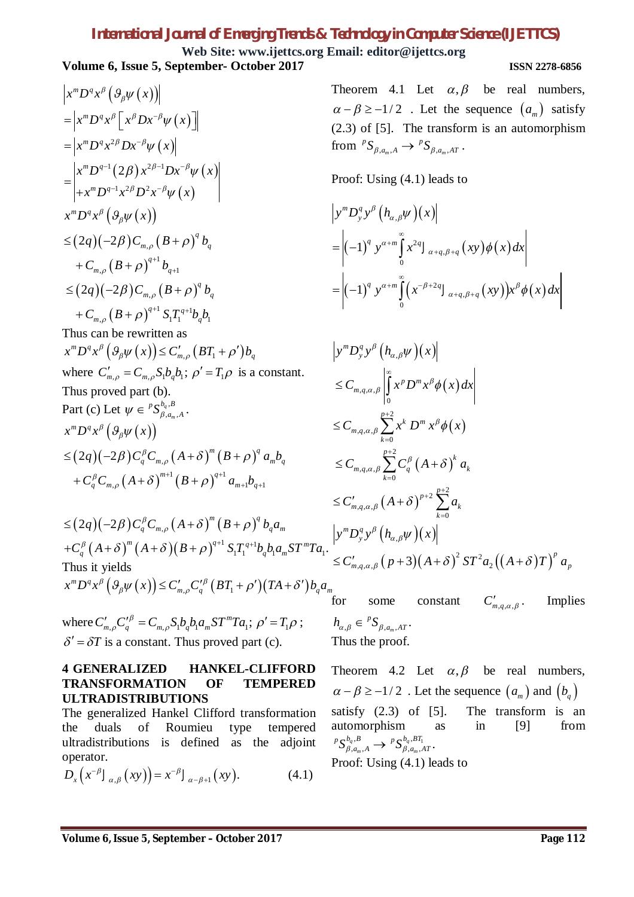**Web Site: www.ijettcs.org Email: editor@ijettcs.org Volume 6, Issue 5, September- October 2017 ISSN 2278-6856**

$$
\begin{aligned}\n&\left|x^{m}D^{q}x^{\beta}\left(\mathcal{G}_{\beta}\psi\left(x\right)\right)\right| \\
&= \left|x^{m}D^{q}x^{\beta}\left[x^{\beta}Dx^{-\beta}\psi\left(x\right)\right]\right| \\
&= \left|x^{m}D^{q-1}\left(2\beta\right)x^{2\beta-1}Dx^{-\beta}\psi\left(x\right)\right| \\
&+ x^{m}D^{q-1}x^{2\beta}D^{2}x^{-\beta}\psi\left(x\right)\right| \\
&= \left|x^{m}D^{q-1}x^{2\beta}D^{2}x^{-\beta}\psi\left(x\right)\right| \\
&\leq (2q)(-2\beta)C_{m,\rho}\left(B+\rho\right)^{q}b_{q} \\
&+ C_{m,\rho}\left(B+\rho\right)^{q+1}b_{q+1} \\
&\leq (2q)(-2\beta)C_{m,\rho}\left(B+\rho\right)^{q}b_{q} \\
&+ C_{m,\rho}\left(B+\rho\right)^{q+1}S_{1}T_{1}^{q+1}b_{q}b_{1}\n\end{aligned}
$$
\nThus can be rewritten as\n
$$
\begin{aligned}\nx^{m}D^{q}x^{\beta}\left(\mathcal{G}_{\beta}\psi\left(x\right)\right) &\leq C'_{m,\rho}\left(BT_{1}+\rho'\right)b_{q} \\
&\text{where } C'_{m,\rho} = C_{m,\rho}S_{1}b_{q}b_{1}; \ \rho' = T_{1}\rho \text{ is a constant.} \\
&\text{Thus proved part (b).} \\
&\text{Part (c) Let } \psi \in {}^{p}S^{b_{q},B}_{\beta,\alpha_{m},A}.\n\end{aligned}
$$
\n
$$
x^{m}D^{q}x^{\beta}\left(\mathcal{G}_{\beta}\psi\left(x\right)\right)
$$
\n
$$
\leq (2q)(-2\beta)C_{q}^{\beta}C_{m,\rho}\left(A+\delta\right)^{m}\left(B+\rho\right)^{q}a_{m}b_{q} + C_{q}^{\beta}C_{m,\rho}\left(A+\delta\right)^{m+1}\left(B+\rho\right)^{q+1}a_{m+1}b_{q+1}
$$

 $(2q)(-2\beta)C_q^{\beta}C_{m,\rho}(A+\delta)^m(B+\rho)^q$  $(A+\delta) ^{\tiny m} \left(A+\delta \right) \!\!\left(B+\rho \right)^{q+1} S_{1} T_{1}^{\: q+1}$  $1^1$   $\sigma_q \sigma_1 \alpha_m \sigma_1 \alpha_1$ .  $q\left( -2\beta \right) C_{q}^{\beta} C_{m,\rho}\left( A+\delta \right) ^{m}\left( B+\rho \right) ^{q}b_{q}a_{m}$  $\binom{m}{4}$   $\binom{q}{1}$   $\binom{p}{2}$   $\binom{q+1}{3}$   $\binom{q+1}{4}$   $\binom{p}{2}$   $\binom{q+1}{4}$  $+C_q^{\beta}(A+\delta)^m(A+\delta)(B+\rho)^{q+1}S_1T_1^{q+1}b_qb_1a_mST^mTa$  $\leq (2q)(-2\beta)C_q^{\beta}C_{_{m,\rho}}(A+\delta)^{^m}(B+\rho)$ Thus it yields  ${}^mD^q x^{\beta}\left(\mathcal{G}_{\beta}\psi\left(x\right)\right)\leq C'_{m,\rho}C'^{\beta}_q\left(BT_1+\rho'\right)\left(TA+\delta'\right)$  $\mathcal{L}^m D^q x^{\beta} \left( \vartheta_{\beta} \psi(x) \right) \leq C'_{m,\rho} C'^{\beta}_q \left( BT_1 + \rho' \right) (TA + \delta') b_q a_m$ 

where  $C'_{m,p}C'^{\beta}_{q} = C_{m,p}S_{1}b_{q}b_{1}a_{m}ST^{m}Ta_{1}; \rho' = T_{1}\rho$ ;  $\delta' = \delta T$  is a constant. Thus proved part (c).

### **4 GENERALIZED HANKEL-CLIFFORD TRANSFORMATION OF TEMPERED ULTRADISTRIBUTIONS**

The generalized Hankel Clifford transformation the duals of Roumieu type tempered ultradistributions is defined as the adjoint operator.

$$
D_x(x^{-\beta} J_{\alpha,\beta}(xy)) = x^{-\beta} J_{\alpha-\beta+1}(xy). \qquad (4.1)
$$

Theorem 4.1 Let  $\alpha, \beta$  be real numbers,  $\alpha - \beta \ge -1/2$ . Let the sequence  $(a_m)$  satisfy (2.3) of [5]. The transform is an automorphism from  ${}^pS_{\beta,a_m,A} \to {}^pS_{\beta,a_m,A}$  ${}^pS_{\beta,a_m,A} \to {}^pS_{\beta,a_m,AT}$ .

Proof: Using (4.1) leads to

$$
\begin{aligned} &\left|y^{m}D_{y}^{q}y^{\beta}\left(h_{\alpha,\beta}\psi\right)(x)\right| \\ &=\left|(-1)^{q}y^{\alpha+m}\int_{0}^{\infty}x^{2q}J_{\alpha+q,\beta+q}\left(xy\right)\phi\left(x\right)dx\right| \\ &=\left|(-1)^{q}y^{\alpha+m}\int_{0}^{\infty}\left(x^{-\beta+2q}J_{\alpha+q,\beta+q}\left(xy\right)\right)x^{\beta}\phi\left(x\right)dx\right| \end{aligned}
$$

$$
\begin{split}\n&\left|y^{m}D_{y}^{q}y^{\beta}\left(h_{\alpha,\beta}\psi\right)(x)\right| \\
&\leq C_{m,q,\alpha,\beta}\left|\int_{0}^{\infty}x^{p}D^{m}x^{\beta}\phi(x)dx\right| \\
&\leq C_{m,q,\alpha,\beta}\sum_{k=0}^{p+2}x^{k}D^{m}x^{\beta}\phi(x) \\
&\leq C_{m,q,\alpha,\beta}\sum_{k=0}^{p+2}C_{q}^{\beta}\left(A+\delta\right)^{k}a_{k} \\
&\leq C'_{m,q,\alpha,\beta}\left(A+\delta\right)^{p+2}\sum_{k=0}^{p+2}a_{k} \\
&\left|y^{m}D_{y}^{q}y^{\beta}\left(h_{\alpha,\beta}\psi\right)(x)\right| \\
&a_{1} \cdot &\leq C'_{m,q,\alpha,\beta}\left(p+3\right)\left(A+\delta\right)^{2}ST^{2}a_{2}\left(\left(A+\delta\right)T\right)^{p}a_{p}\n\end{split}
$$

for some constant  $C'_{m,q,\alpha,\beta}$ . Implies  $\beta \in {}^pS_{\beta, a_m, AT}.$  $h_{\alpha,\beta} \in {^pS}_{\beta,a_m,AT}$ Thus the proof.

Theorem 4.2 Let  $\alpha, \beta$  be real numbers,  $\alpha - \beta \ge -1/2$ . Let the sequence  $(a_m)$  and  $(b_a)$ satisfy  $(2.3)$  of  $[5]$ . The transform is an automorphism as in [9] from  $B$ ,  $p \, \mathbf{C}^{b_q, BT_1}$  $f_{q,n}^{q,\boldsymbol{D}}\rightarrow {}^pS_{\beta,a_m,AT}^{\nu_q,\boldsymbol{D1}_1}.$  $p, a_m$  ${}^p S^{b_q, B}_{\beta, a_m, A} \rightarrow {}^p S^{b_q, BT_1}_{\beta, a_m, AT}$ Proof: Using (4.1) leads to